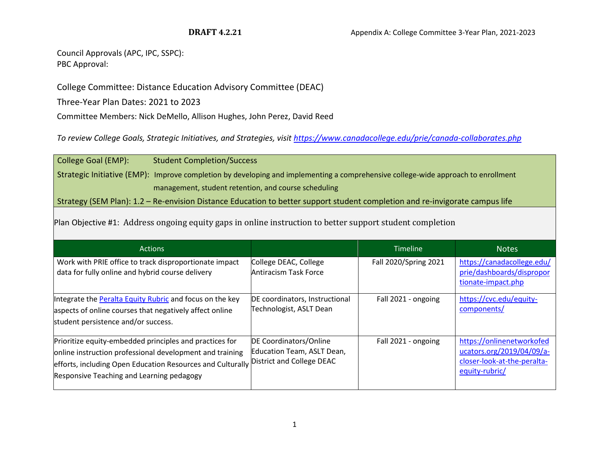Council Approvals (APC, IPC, SSPC): PBC Approval:

College Committee: Distance Education Advisory Committee (DEAC)

Three-Year Plan Dates: 2021 to 2023

Committee Members: Nick DeMello, Allison Hughes, John Perez, David Reed

*To review College Goals, Strategic Initiatives, and Strategies, visi[t https://www.canadacollege.edu/prie/canada-collaborates.php](https://www.canadacollege.edu/prie/canada-collaborates.php)*

College Goal (EMP): Student Completion/Success Strategic Initiative (EMP): Improve completion by developing and implementing a comprehensive college-wide approach to enrollment management, student retention, and course scheduling

Strategy (SEM Plan): 1.2 – Re-envision Distance Education to better support student completion and re-invigorate campus life

Plan Objective #1: Address ongoing equity gaps in online instruction to better support student completion

| <b>Actions</b>                                                                                                                                                                                                                                           |                                                           | <b>Timeline</b>       | <b>Notes</b>                                                                                            |
|----------------------------------------------------------------------------------------------------------------------------------------------------------------------------------------------------------------------------------------------------------|-----------------------------------------------------------|-----------------------|---------------------------------------------------------------------------------------------------------|
| Work with PRIE office to track disproportionate impact<br>data for fully online and hybrid course delivery                                                                                                                                               | College DEAC, College<br>Antiracism Task Force            | Fall 2020/Spring 2021 | https://canadacollege.edu/<br>prie/dashboards/dispropor<br>tionate-impact.php                           |
| Integrate the <b>Peralta Equity Rubric</b> and focus on the key<br>aspects of online courses that negatively affect online<br>student persistence and/or success.                                                                                        | DE coordinators, Instructional<br>Technologist, ASLT Dean | Fall 2021 - ongoing   | https://cvc.edu/equity-<br>components/                                                                  |
| Prioritize equity-embedded principles and practices for<br>online instruction professional development and training<br>efforts, including Open Education Resources and Culturally District and College DEAC<br>Responsive Teaching and Learning pedagogy | DE Coordinators/Online<br>Education Team, ASLT Dean,      | Fall 2021 - ongoing   | https://onlinenetworkofed<br>ucators.org/2019/04/09/a-<br>closer-look-at-the-peralta-<br>equity-rubric/ |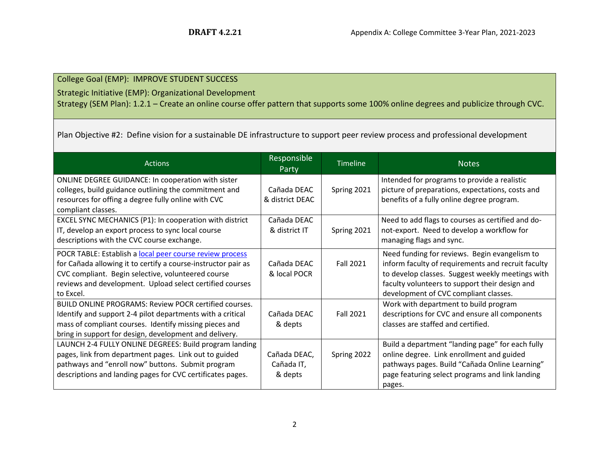College Goal (EMP): IMPROVE STUDENT SUCCESS

Strategic Initiative (EMP): Organizational Development

Strategy (SEM Plan): 1.2.1 – Create an online course offer pattern that supports some 100% online degrees and publicize through CVC.

Plan Objective #2: Define vision for a sustainable DE infrastructure to support peer review process and professional development

| <b>Actions</b>                                                                                                                                                                                                                                           | Responsible<br>Party                  | <b>Timeline</b> | <b>Notes</b>                                                                                                                                                                                                                                       |
|----------------------------------------------------------------------------------------------------------------------------------------------------------------------------------------------------------------------------------------------------------|---------------------------------------|-----------------|----------------------------------------------------------------------------------------------------------------------------------------------------------------------------------------------------------------------------------------------------|
| ONLINE DEGREE GUIDANCE: In cooperation with sister<br>colleges, build guidance outlining the commitment and<br>resources for offing a degree fully online with CVC<br>compliant classes.                                                                 | Cañada DEAC<br>& district DEAC        | Spring 2021     | Intended for programs to provide a realistic<br>picture of preparations, expectations, costs and<br>benefits of a fully online degree program.                                                                                                     |
| EXCEL SYNC MECHANICS (P1): In cooperation with district<br>IT, develop an export process to sync local course<br>descriptions with the CVC course exchange.                                                                                              | Cañada DEAC<br>& district IT          | Spring 2021     | Need to add flags to courses as certified and do-<br>not-export. Need to develop a workflow for<br>managing flags and sync.                                                                                                                        |
| POCR TABLE: Establish a local peer course review process<br>for Cañada allowing it to certify a course-instructor pair as<br>CVC compliant. Begin selective, volunteered course<br>reviews and development. Upload select certified courses<br>to Excel. | Cañada DEAC<br>& local POCR           | Fall 2021       | Need funding for reviews. Begin evangelism to<br>inform faculty of requirements and recruit faculty<br>to develop classes. Suggest weekly meetings with<br>faculty volunteers to support their design and<br>development of CVC compliant classes. |
| <b>BUILD ONLINE PROGRAMS: Review POCR certified courses.</b><br>Identify and support 2-4 pilot departments with a critical<br>mass of compliant courses. Identify missing pieces and<br>bring in support for design, development and delivery.           | Cañada DEAC<br>& depts                | Fall 2021       | Work with department to build program<br>descriptions for CVC and ensure all components<br>classes are staffed and certified.                                                                                                                      |
| LAUNCH 2-4 FULLY ONLINE DEGREES: Build program landing<br>pages, link from department pages. Link out to guided<br>pathways and "enroll now" buttons. Submit program<br>descriptions and landing pages for CVC certificates pages.                       | Cañada DEAC,<br>Cañada IT,<br>& depts | Spring 2022     | Build a department "landing page" for each fully<br>online degree. Link enrollment and guided<br>pathways pages. Build "Cañada Online Learning"<br>page featuring select programs and link landing<br>pages.                                       |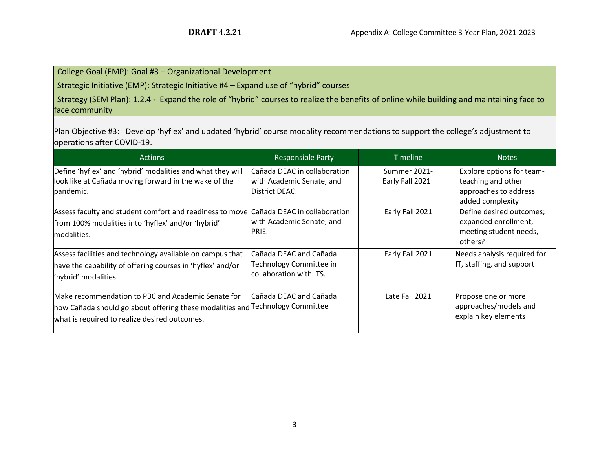## College Goal (EMP): Goal #3 – Organizational Development

Strategic Initiative (EMP): Strategic Initiative #4 – Expand use of "hybrid" courses

Strategy (SEM Plan): 1.2.4 - Expand the role of "hybrid" courses to realize the benefits of online while building and maintaining face to face community

Plan Objective #3: Develop 'hyflex' and updated 'hybrid' course modality recommendations to support the college's adjustment to operations after COVID-19.

| <b>Actions</b>                                                                                                                                                                       | <b>Responsible Party</b>                                                     | <b>Timeline</b>                 | <b>Notes</b>                                                                                 |
|--------------------------------------------------------------------------------------------------------------------------------------------------------------------------------------|------------------------------------------------------------------------------|---------------------------------|----------------------------------------------------------------------------------------------|
| Define 'hyflex' and 'hybrid' modalities and what they will<br>look like at Cañada moving forward in the wake of the<br>pandemic.                                                     | Cañada DEAC in collaboration<br>with Academic Senate, and<br>District DEAC.  | Summer 2021-<br>Early Fall 2021 | Explore options for team-<br>teaching and other<br>approaches to address<br>added complexity |
| Assess faculty and student comfort and readiness to move<br>from 100% modalities into 'hyflex' and/or 'hybrid'<br>modalities.                                                        | Cañada DEAC in collaboration<br>with Academic Senate, and<br>PRIE.           | Early Fall 2021                 | Define desired outcomes;<br>expanded enrollment,<br>meeting student needs,<br>others?        |
| Assess facilities and technology available on campus that<br>have the capability of offering courses in 'hyflex' and/or<br>'hybrid' modalities.                                      | Cañada DEAC and Cañada<br>Technology Committee in<br>collaboration with ITS. | Early Fall 2021                 | Needs analysis required for<br>IT, staffing, and support                                     |
| Make recommendation to PBC and Academic Senate for<br>how Cañada should go about offering these modalities and Technology Committee<br>what is required to realize desired outcomes. | Cañada DEAC and Cañada                                                       | Late Fall 2021                  | Propose one or more<br>approaches/models and<br>explain key elements                         |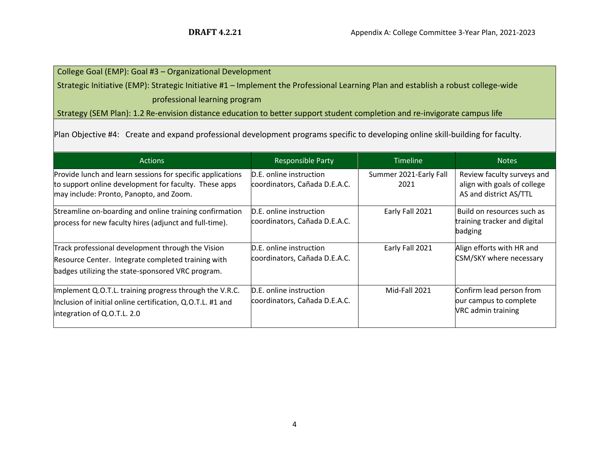# College Goal (EMP): Goal #3 – Organizational Development

Strategic Initiative (EMP): Strategic Initiative #1 – Implement the Professional Learning Plan and establish a robust college-wide professional learning program

Strategy (SEM Plan): 1.2 Re-envision distance education to better support student completion and re-invigorate campus life

Plan Objective #4: Create and expand professional development programs specific to developing online skill-building for faculty.

| <b>Actions</b>                                                                                                                                                 | <b>Responsible Party</b>                                 | <b>Timeline</b>                | <b>Notes</b>                                                                        |
|----------------------------------------------------------------------------------------------------------------------------------------------------------------|----------------------------------------------------------|--------------------------------|-------------------------------------------------------------------------------------|
| Provide lunch and learn sessions for specific applications<br>to support online development for faculty. These apps<br>may include: Pronto, Panopto, and Zoom. | D.E. online instruction<br>coordinators, Cañada D.E.A.C. | Summer 2021-Early Fall<br>2021 | Review faculty surveys and<br>align with goals of college<br>AS and district AS/TTL |
| Streamline on-boarding and online training confirmation<br>process for new faculty hires (adjunct and full-time).                                              | D.E. online instruction<br>coordinators, Cañada D.E.A.C. | Early Fall 2021                | Build on resources such as<br>training tracker and digital<br>badging               |
| Track professional development through the Vision<br>Resource Center. Integrate completed training with<br>badges utilizing the state-sponsored VRC program.   | D.E. online instruction<br>coordinators, Cañada D.E.A.C. | Early Fall 2021                | Align efforts with HR and<br>CSM/SKY where necessary                                |
| Implement Q.O.T.L. training progress through the V.R.C.<br>Inclusion of initial online certification, Q.O.T.L. #1 and<br>integration of Q.O.T.L. 2.0           | D.E. online instruction<br>coordinators, Cañada D.E.A.C. | Mid-Fall 2021                  | Confirm lead person from<br>our campus to complete<br><b>NRC</b> admin training     |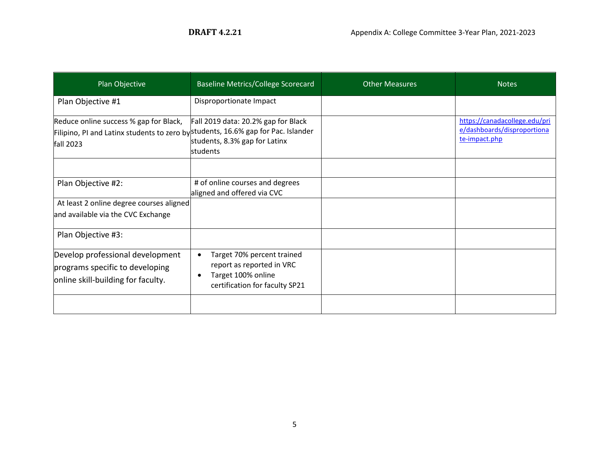| Plan Objective                                                                                                                           | <b>Baseline Metrics/College Scorecard</b>                                                                       | <b>Other Measures</b> | <b>Notes</b>                                                                  |
|------------------------------------------------------------------------------------------------------------------------------------------|-----------------------------------------------------------------------------------------------------------------|-----------------------|-------------------------------------------------------------------------------|
| Plan Objective #1                                                                                                                        | Disproportionate Impact                                                                                         |                       |                                                                               |
| Reduce online success % gap for Black,<br>Filipino, PI and Latinx students to zero by students, 16.6% gap for Pac. Islander<br>fall 2023 | Fall 2019 data: 20.2% gap for Black<br>students, 8.3% gap for Latinx<br><b>students</b>                         |                       | https://canadacollege.edu/pri<br>e/dashboards/disproportiona<br>te-impact.php |
| Plan Objective #2:                                                                                                                       | # of online courses and degrees<br>aligned and offered via CVC                                                  |                       |                                                                               |
| At least 2 online degree courses aligned<br>and available via the CVC Exchange                                                           |                                                                                                                 |                       |                                                                               |
| Plan Objective #3:                                                                                                                       |                                                                                                                 |                       |                                                                               |
| Develop professional development<br>programs specific to developing<br>online skill-building for faculty.                                | Target 70% percent trained<br>report as reported in VRC<br>Target 100% online<br>certification for faculty SP21 |                       |                                                                               |
|                                                                                                                                          |                                                                                                                 |                       |                                                                               |